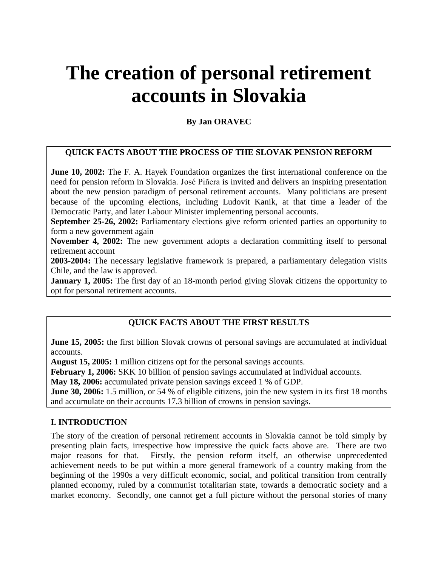# **The creation of personal retirement accounts in Slovakia**

# **By Jan ORAVEC**

# **QUICK FACTS ABOUT THE PROCESS OF THE SLOVAK PENSION REFORM**

**June 10, 2002:** The F. A. Hayek Foundation organizes the first international conference on the need for pension reform in Slovakia. José Piñera is invited and delivers an inspiring presentation about the new pension paradigm of personal retirement accounts. Many politicians are present because of the upcoming elections, including Ludovit Kanik, at that time a leader of the Democratic Party, and later Labour Minister implementing personal accounts.

**September 25-26, 2002:** Parliamentary elections give reform oriented parties an opportunity to form a new government again

**November 4, 2002:** The new government adopts a declaration committing itself to personal retirement account

**2003-2004:** The necessary legislative framework is prepared, a parliamentary delegation visits Chile, and the law is approved.

**January 1, 2005:** The first day of an 18-month period giving Slovak citizens the opportunity to opt for personal retirement accounts.

# **QUICK FACTS ABOUT THE FIRST RESULTS**

**June 15, 2005:** the first billion Slovak crowns of personal savings are accumulated at individual accounts.

**August 15, 2005:** 1 million citizens opt for the personal savings accounts.

**February 1, 2006:** SKK 10 billion of pension savings accumulated at individual accounts.

**May 18, 2006:** accumulated private pension savings exceed 1 % of GDP.

**June 30, 2006:** 1.5 million, or 54 % of eligible citizens, join the new system in its first 18 months and accumulate on their accounts 17.3 billion of crowns in pension savings.

## **I. INTRODUCTION**

The story of the creation of personal retirement accounts in Slovakia cannot be told simply by presenting plain facts, irrespective how impressive the quick facts above are. There are two major reasons for that. Firstly, the pension reform itself, an otherwise unprecedented achievement needs to be put within a more general framework of a country making from the beginning of the 1990s a very difficult economic, social, and political transition from centrally planned economy, ruled by a communist totalitarian state, towards a democratic society and a market economy. Secondly, one cannot get a full picture without the personal stories of many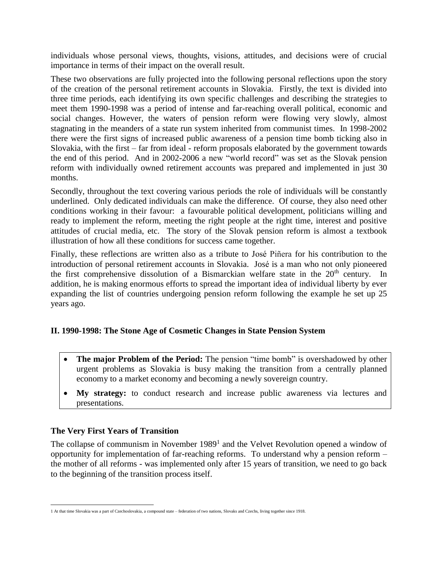individuals whose personal views, thoughts, visions, attitudes, and decisions were of crucial importance in terms of their impact on the overall result.

These two observations are fully projected into the following personal reflections upon the story of the creation of the personal retirement accounts in Slovakia. Firstly, the text is divided into three time periods, each identifying its own specific challenges and describing the strategies to meet them 1990-1998 was a period of intense and far-reaching overall political, economic and social changes. However, the waters of pension reform were flowing very slowly, almost stagnating in the meanders of a state run system inherited from communist times. In 1998-2002 there were the first signs of increased public awareness of a pension time bomb ticking also in Slovakia, with the first – far from ideal - reform proposals elaborated by the government towards the end of this period. And in 2002-2006 a new "world record" was set as the Slovak pension reform with individually owned retirement accounts was prepared and implemented in just 30 months.

Secondly, throughout the text covering various periods the role of individuals will be constantly underlined. Only dedicated individuals can make the difference. Of course, they also need other conditions working in their favour: a favourable political development, politicians willing and ready to implement the reform, meeting the right people at the right time, interest and positive attitudes of crucial media, etc. The story of the Slovak pension reform is almost a textbook illustration of how all these conditions for success came together.

Finally, these reflections are written also as a tribute to José Piñera for his contribution to the introduction of personal retirement accounts in Slovakia. José is a man who not only pioneered the first comprehensive dissolution of a Bismarckian welfare state in the 20<sup>th</sup> century. In addition, he is making enormous efforts to spread the important idea of individual liberty by ever expanding the list of countries undergoing pension reform following the example he set up 25 years ago.

## **II. 1990-1998: The Stone Age of Cosmetic Changes in State Pension System**

- **The major Problem of the Period:** The pension "time bomb" is overshadowed by other urgent problems as Slovakia is busy making the transition from a centrally planned economy to a market economy and becoming a newly sovereign country.
- **My strategy:** to conduct research and increase public awareness via lectures and presentations.

## **The Very First Years of Transition**

The collapse of communism in November 1989<sup>1</sup> and the Velvet Revolution opened a window of opportunity for implementation of far-reaching reforms. To understand why a pension reform – the mother of all reforms - was implemented only after 15 years of transition, we need to go back to the beginning of the transition process itself.

 $\overline{a}$ 1 At that time Slovakia was a part of Czechoslovakia, a compound state – federation of two nations, Slovaks and Czechs, living together since 1918.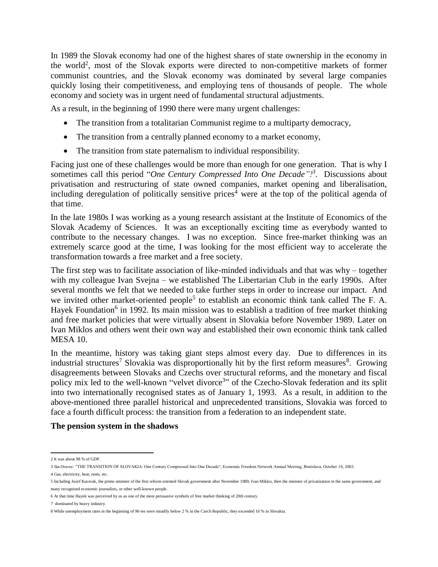In 1989 the Slovak economy had one of the highest shares of state ownership in the economy in the world<sup>2</sup>, most of the Slovak exports were directed to non-competitive markets of former communist countries, and the Slovak economy was dominated by several large companies quickly losing their competitiveness, and employing tens of thousands of people. The whole economy and society was in urgent need of fundamental structural adjustments.

As a result, in the beginning of 1990 there were many urgent challenges:

- The transition from a totalitarian Communist regime to a multiparty democracy,
- The transition from a centrally planned economy to a market economy,
- The transition from state paternalism to individual responsibility.

Facing just one of these challenges would be more than enough for one generation. That is why I sometimes call this period "*One Century Compressed Into One Decade"!<sup>3</sup> .* Discussions about privatisation and restructuring of state owned companies, market opening and liberalisation, including deregulation of politically sensitive prices<sup>4</sup> were at the top of the political agenda of that time.

In the late 1980s I was working as a young research assistant at the Institute of Economics of the Slovak Academy of Sciences. It was an exceptionally exciting time as everybody wanted to contribute to the necessary changes. I was no exception. Since free-market thinking was an extremely scarce good at the time, I was looking for the most efficient way to accelerate the transformation towards a free market and a free society.

The first step was to facilitate association of like-minded individuals and that was why – together with my colleague Ivan Svejna – we established The Libertarian Club in the early 1990s. After several months we felt that we needed to take further steps in order to increase our impact. And we invited other market-oriented people<sup>5</sup> to establish an economic think tank called The F. A. Hayek Foundation<sup>6</sup> in 1992. Its main mission was to establish a tradition of free market thinking and free market policies that were virtually absent in Slovakia before November 1989. Later on Ivan Miklos and others went their own way and established their own economic think tank called MESA 10.

In the meantime, history was taking giant steps almost every day. Due to differences in its industrial structures<sup>7</sup> Slovakia was disproportionally hit by the first reform measures<sup>8</sup>. Growing disagreements between Slovaks and Czechs over structural reforms, and the monetary and fiscal policy mix led to the well-known "velvet divorce<sup>3</sup>" of the Czecho-Slovak federation and its split into two internationally recognised states as of January 1, 1993. As a result, in addition to the above-mentioned three parallel historical and unprecedented transitions, Slovakia was forced to face a fourth difficult process: the transition from a federation to an independent state.

#### **The pension system in the shadows**

 $\overline{a}$ 2 It was about 98 % of GDP.

<sup>3</sup> Ján Oravec: "THE TRANSITION OF SLOVAKIA: One Century Compressed Into One Decade", Economic Freedom Network Annual Meeting, Bratislava, October 16, 2003.

<sup>4</sup> Gas, electricity, heat, rents, etc.

<sup>5</sup> Including Jozef Kucerak, the prime minister of the first reform oriented Slovak government after November 1989, Ivan Miklos, then the minister of privatization in the same government, and many recognized economic journalists, or other well-known people.

<sup>6</sup> At that time Hayek was perceived by us as one of the most persuasive symbols of free market thinking of 20th century.

<sup>7</sup> dominated by heavy industry.

<sup>8</sup> While unemployment rates in the beginning of 90-ies were steadily below 2 % in the Czech Republic, they exceeded 10 % in Slovakia.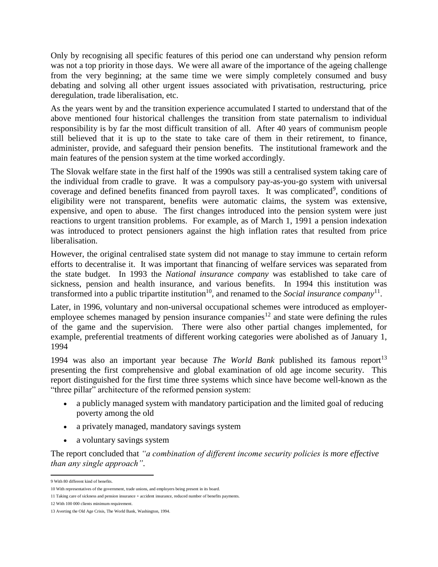Only by recognising all specific features of this period one can understand why pension reform was not a top priority in those days. We were all aware of the importance of the ageing challenge from the very beginning; at the same time we were simply completely consumed and busy debating and solving all other urgent issues associated with privatisation, restructuring, price deregulation, trade liberalisation, etc.

As the years went by and the transition experience accumulated I started to understand that of the above mentioned four historical challenges the transition from state paternalism to individual responsibility is by far the most difficult transition of all. After 40 years of communism people still believed that it is up to the state to take care of them in their retirement, to finance, administer, provide, and safeguard their pension benefits. The institutional framework and the main features of the pension system at the time worked accordingly.

The Slovak welfare state in the first half of the 1990s was still a centralised system taking care of the individual from cradle to grave. It was a compulsory pay-as-you-go system with universal coverage and defined benefits financed from payroll taxes. It was complicated<sup>9</sup>, conditions of eligibility were not transparent, benefits were automatic claims, the system was extensive, expensive, and open to abuse. The first changes introduced into the pension system were just reactions to urgent transition problems. For example, as of March 1, 1991 a pension indexation was introduced to protect pensioners against the high inflation rates that resulted from price liberalisation.

However, the original centralised state system did not manage to stay immune to certain reform efforts to decentralise it. It was important that financing of welfare services was separated from the state budget. In 1993 the *National insurance company* was established to take care of sickness, pension and health insurance, and various benefits. In 1994 this institution was transformed into a public tripartite institution<sup>10</sup>, and renamed to the *Social insurance company*<sup>11</sup>.

Later, in 1996, voluntary and non-universal occupational schemes were introduced as employeremployee schemes managed by pension insurance companies<sup>12</sup> and state were defining the rules of the game and the supervision. There were also other partial changes implemented, for example, preferential treatments of different working categories were abolished as of January 1, 1994

1994 was also an important year because *The World Bank* published its famous report<sup>13</sup> presenting the first comprehensive and global examination of old age income security. This report distinguished for the first time three systems which since have become well-known as the "three pillar" architecture of the reformed pension system:

- a publicly managed system with mandatory participation and the limited goal of reducing poverty among the old
- a privately managed, mandatory savings system
- a voluntary savings system

The report concluded that *"a combination of different income security policies is more effective than any single approach"*.

 $\overline{a}$ 9 With 80 different kind of benefits.

<sup>10</sup> With representatives of the government, trade unions, and employers being present in its board.

<sup>11</sup> Taking care of sickness and pension insurance + accident insurance, reduced number of benefits payments.

<sup>12</sup> With 100 000 clients minimum requirement.

<sup>13</sup> Averting the Old Age Crisis, The World Bank, Washington, 1994.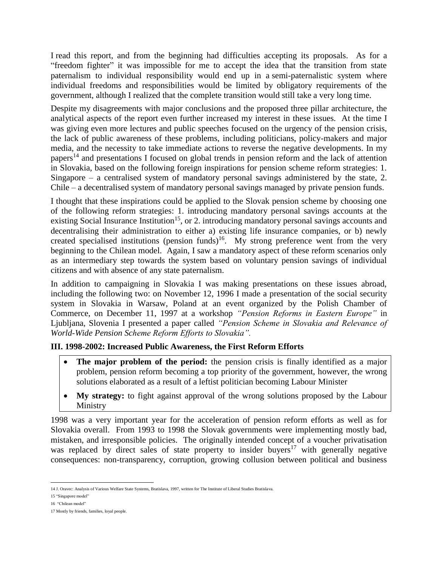I read this report, and from the beginning had difficulties accepting its proposals. As for a "freedom fighter" it was impossible for me to accept the idea that the transition from state paternalism to individual responsibility would end up in a semi-paternalistic system where individual freedoms and responsibilities would be limited by obligatory requirements of the government, although I realized that the complete transition would still take a very long time.

Despite my disagreements with major conclusions and the proposed three pillar architecture, the analytical aspects of the report even further increased my interest in these issues. At the time I was giving even more lectures and public speeches focused on the urgency of the pension crisis, the lack of public awareness of these problems, including politicians, policy-makers and major media, and the necessity to take immediate actions to reverse the negative developments. In my papers<sup>14</sup> and presentations I focused on global trends in pension reform and the lack of attention in Slovakia, based on the following foreign inspirations for pension scheme reform strategies: 1. Singapore – a centralised system of mandatory personal savings administered by the state, 2. Chile – a decentralised system of mandatory personal savings managed by private pension funds.

I thought that these inspirations could be applied to the Slovak pension scheme by choosing one of the following reform strategies: 1. introducing mandatory personal savings accounts at the existing Social Insurance Institution<sup>15</sup>, or 2. introducing mandatory personal savings accounts and decentralising their administration to either a) existing life insurance companies, or b) newly created specialised institutions (pension funds)<sup>16</sup>. My strong preference went from the very beginning to the Chilean model. Again, I saw a mandatory aspect of these reform scenarios only as an intermediary step towards the system based on voluntary pension savings of individual citizens and with absence of any state paternalism.

In addition to campaigning in Slovakia I was making presentations on these issues abroad, including the following two: on November 12, 1996 I made a presentation of the social security system in Slovakia in Warsaw, Poland at an event organized by the Polish Chamber of Commerce, on December 11, 1997 at a workshop *"Pension Reforms in Eastern Europe"* in Ljubljana, Slovenia I presented a paper called *"Pension Scheme in Slovakia and Relevance of World-Wide Pension Scheme Reform Efforts to Slovakia".*

## **III. 1998-2002: Increased Public Awareness, the First Reform Efforts**

- **The major problem of the period:** the pension crisis is finally identified as a major problem, pension reform becoming a top priority of the government, however, the wrong solutions elaborated as a result of a leftist politician becoming Labour Minister
- My strategy: to fight against approval of the wrong solutions proposed by the Labour Ministry

1998 was a very important year for the acceleration of pension reform efforts as well as for Slovakia overall. From 1993 to 1998 the Slovak governments were implementing mostly bad, mistaken, and irresponsible policies. The originally intended concept of a voucher privatisation was replaced by direct sales of state property to insider buyers<sup>17</sup> with generally negative consequences: non-transparency, corruption, growing collusion between political and business

 $\overline{a}$ 14 J. Oravec: Analysis of Various Welfare State Systems, Bratislava, 1997, written for The Institute of Liberal Studies Bratislava.

<sup>15</sup> "Singapore model"

<sup>16 &</sup>quot;Chilean model"

<sup>17</sup> Mostly by friends, families, loyal people.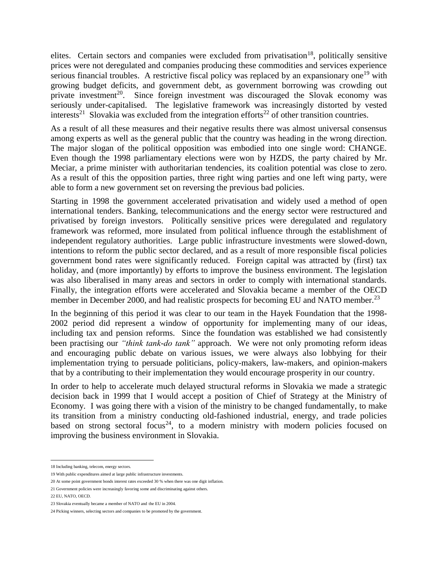elites. Certain sectors and companies were excluded from privatisation<sup>18</sup>, politically sensitive prices were not deregulated and companies producing these commodities and services experience serious financial troubles. A restrictive fiscal policy was replaced by an expansionary one<sup>19</sup> with growing budget deficits, and government debt, as government borrowing was crowding out private investment<sup>20</sup>. Since foreign investment was discouraged the Slovak economy was seriously under-capitalised. The legislative framework was increasingly distorted by vested interests<sup>21</sup> Slovakia was excluded from the integration efforts<sup>22</sup> of other transition countries.

As a result of all these measures and their negative results there was almost universal consensus among experts as well as the general public that the country was heading in the wrong direction. The major slogan of the political opposition was embodied into one single word: CHANGE. Even though the 1998 parliamentary elections were won by HZDS, the party chaired by Mr. Meciar, a prime minister with authoritarian tendencies, its coalition potential was close to zero. As a result of this the opposition parties, three right wing parties and one left wing party, were able to form a new government set on reversing the previous bad policies.

Starting in 1998 the government accelerated privatisation and widely used a method of open international tenders. Banking, telecommunications and the energy sector were restructured and privatised by foreign investors. Politically sensitive prices were deregulated and regulatory framework was reformed, more insulated from political influence through the establishment of independent regulatory authorities. Large public infrastructure investments were slowed-down, intentions to reform the public sector declared, and as a result of more responsible fiscal policies government bond rates were significantly reduced. Foreign capital was attracted by (first) tax holiday, and (more importantly) by efforts to improve the business environment. The legislation was also liberalised in many areas and sectors in order to comply with international standards. Finally, the integration efforts were accelerated and Slovakia became a member of the OECD member in December 2000, and had realistic prospects for becoming EU and NATO member.<sup>23</sup>

In the beginning of this period it was clear to our team in the Hayek Foundation that the 1998- 2002 period did represent a window of opportunity for implementing many of our ideas, including tax and pension reforms. Since the foundation was established we had consistently been practising our *"think tank-do tank"* approach. We were not only promoting reform ideas and encouraging public debate on various issues, we were always also lobbying for their implementation trying to persuade politicians, policy-makers, law-makers, and opinion-makers that by a contributing to their implementation they would encourage prosperity in our country.

In order to help to accelerate much delayed structural reforms in Slovakia we made a strategic decision back in 1999 that I would accept a position of Chief of Strategy at the Ministry of Economy. I was going there with a vision of the ministry to be changed fundamentally, to make its transition from a ministry conducting old-fashioned industrial, energy, and trade policies based on strong sectoral focus<sup>24</sup>, to a modern ministry with modern policies focused on improving the business environment in Slovakia.

 $\overline{a}$ 

<sup>18</sup> Including banking, telecom, energy sectors.

<sup>19</sup> With public expenditures aimed at large public infrastructure investments.

<sup>20</sup> At some point government bonds interest rates exceeded 30 % when there was one digit inflation.

<sup>21</sup> Government policies were increasingly favoring some and discriminating against others.

<sup>22</sup> EU, NATO, OECD.

<sup>23</sup> Slovakia eventually became a member of NATO and the EU in 2004.

<sup>24</sup> Picking winners, selecting sectors and companies to be promoted by the government.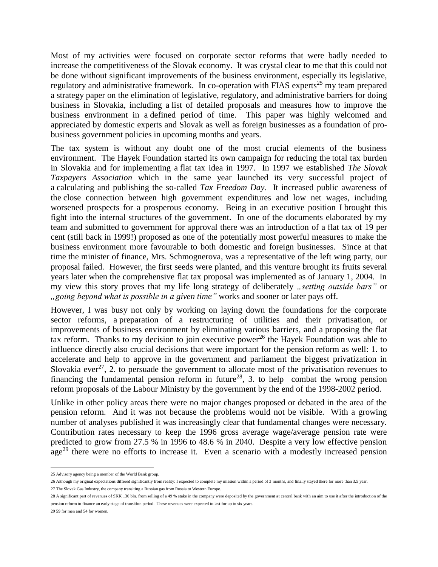Most of my activities were focused on corporate sector reforms that were badly needed to increase the competitiveness of the Slovak economy. It was crystal clear to me that this could not be done without significant improvements of the business environment, especially its legislative, regulatory and administrative framework. In co-operation with FIAS experts<sup>25</sup> my team prepared a strategy paper on the elimination of legislative, regulatory, and administrative barriers for doing business in Slovakia, including a list of detailed proposals and measures how to improve the business environment in a defined period of time. This paper was highly welcomed and appreciated by domestic experts and Slovak as well as foreign businesses as a foundation of probusiness government policies in upcoming months and years.

The tax system is without any doubt one of the most crucial elements of the business environment. The Hayek Foundation started its own campaign for reducing the total tax burden in Slovakia and for implementing a flat tax idea in 1997. In 1997 we established *The Slovak Taxpayers Association* which in the same year launched its very successful project of a calculating and publishing the so-called *Tax Freedom Day.* It increased public awareness of the close connection between high government expenditures and low net wages, including worsened prospects for a prosperous economy. Being in an executive position I brought this fight into the internal structures of the government. In one of the documents elaborated by my team and submitted to government for approval there was an introduction of a flat tax of 19 per cent (still back in 1999!) proposed as one of the potentially most powerful measures to make the business environment more favourable to both domestic and foreign businesses. Since at that time the minister of finance, Mrs. Schmognerova, was a representative of the left wing party, our proposal failed. However, the first seeds were planted, and this venture brought its fruits several years later when the comprehensive flat tax proposal was implemented as of January 1, 2004. In my view this story proves that my life long strategy of deliberately *"setting outside bars*" or *"going beyond what is possible in a given time"* works and sooner or later pays off.

However, I was busy not only by working on laying down the foundations for the corporate sector reforms, a preparation of a restructuring of utilities and their privatisation, or improvements of business environment by eliminating various barriers, and a proposing the flat tax reform. Thanks to my decision to join executive power<sup>26</sup> the Hayek Foundation was able to influence directly also crucial decisions that were important for the pension reform as well: 1. to accelerate and help to approve in the government and parliament the biggest privatization in Slovakia ever<sup>27</sup>, 2. to persuade the government to allocate most of the privatisation revenues to financing the fundamental pension reform in future<sup>28</sup>, 3. to help combat the wrong pension reform proposals of the Labour Ministry by the government by the end of the 1998-2002 period.

Unlike in other policy areas there were no major changes proposed or debated in the area of the pension reform. And it was not because the problems would not be visible. With a growing number of analyses published it was increasingly clear that fundamental changes were necessary. Contribution rates necessary to keep the 1996 gross average wage/average pension rate were predicted to grow from 27.5 % in 1996 to 48.6 % in 2040. Despite a very low effective pension  $age<sup>29</sup>$  there were no efforts to increase it. Even a scenario with a modestly increased pension

 $\overline{a}$ 

<sup>25</sup> Advisory agency being a member of the World Bank group.

<sup>26</sup> Although my original expectations differed significantly from reality: I expected to complete my mission within a period of 3 months, and finally stayed there for more than 3.5 year.

<sup>27</sup> The Slovak Gas Industry, the company transiting a Russian gas from Russia to Western Europe.

<sup>28</sup> A significant part of revenues of SKK 130 bln. from selling of a 49 % stake in the company were deposited by the government at central bank with an aim to use it after the introduction of the pension reform to finance an early stage of transition period. These revenues were expected to last for up to six years.

<sup>29</sup> 59 for men and 54 for women.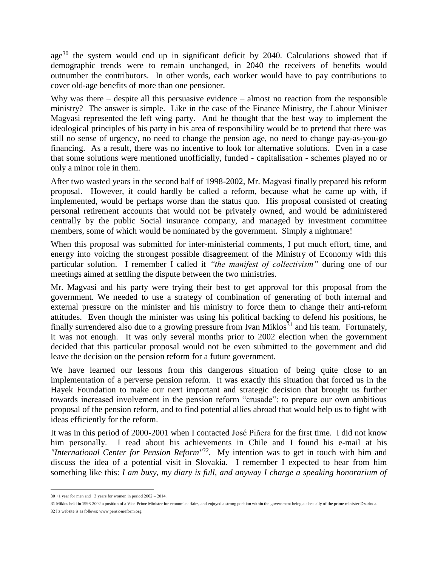age<sup>30</sup> the system would end up in significant deficit by 2040. Calculations showed that if demographic trends were to remain unchanged, in 2040 the receivers of benefits would outnumber the contributors. In other words, each worker would have to pay contributions to cover old-age benefits of more than one pensioner.

Why was there – despite all this persuasive evidence – almost no reaction from the responsible ministry? The answer is simple. Like in the case of the Finance Ministry, the Labour Minister Magvasi represented the left wing party. And he thought that the best way to implement the ideological principles of his party in his area of responsibility would be to pretend that there was still no sense of urgency, no need to change the pension age, no need to change pay-as-you-go financing. As a result, there was no incentive to look for alternative solutions. Even in a case that some solutions were mentioned unofficially, funded - capitalisation - schemes played no or only a minor role in them.

After two wasted years in the second half of 1998-2002, Mr. Magvasi finally prepared his reform proposal. However, it could hardly be called a reform, because what he came up with, if implemented, would be perhaps worse than the status quo. His proposal consisted of creating personal retirement accounts that would not be privately owned, and would be administered centrally by the public Social insurance company, and managed by investment committee members, some of which would be nominated by the government. Simply a nightmare!

When this proposal was submitted for inter-ministerial comments, I put much effort, time, and energy into voicing the strongest possible disagreement of the Ministry of Economy with this particular solution. I remember I called it *"the manifest of collectivism"* during one of our meetings aimed at settling the dispute between the two ministries.

Mr. Magvasi and his party were trying their best to get approval for this proposal from the government. We needed to use a strategy of combination of generating of both internal and external pressure on the minister and his ministry to force them to change their anti-reform attitudes. Even though the minister was using his political backing to defend his positions, he finally surrendered also due to a growing pressure from Ivan Miklos $31$  and his team. Fortunately, it was not enough. It was only several months prior to 2002 election when the government decided that this particular proposal would not be even submitted to the government and did leave the decision on the pension reform for a future government.

We have learned our lessons from this dangerous situation of being quite close to an implementation of a perverse pension reform. It was exactly this situation that forced us in the Hayek Foundation to make our next important and strategic decision that brought us further towards increased involvement in the pension reform "crusade": to prepare our own ambitious proposal of the pension reform, and to find potential allies abroad that would help us to fight with ideas efficiently for the reform.

It was in this period of 2000-2001 when I contacted José Piñera for the first time. I did not know him personally. I read about his achievements in Chile and I found his e-mail at his *"International Center for Pension Reform"<sup>32</sup>*. My intention was to get in touch with him and discuss the idea of a potential visit in Slovakia. I remember I expected to hear from him something like this: *I am busy, my diary is full, and anyway I charge a speaking honorarium of* 

 30 +1 year for men and +3 years for women in period 2002 – 2014.

<sup>31</sup> Miklos held in 1998-2002 a position of a Vice-Prime Minister for economic affairs, and enjoyed a strong position within the government being a close ally of the prime minister Dzurinda.

<sup>32</sup> Its website is as follows: www.pensionreform.org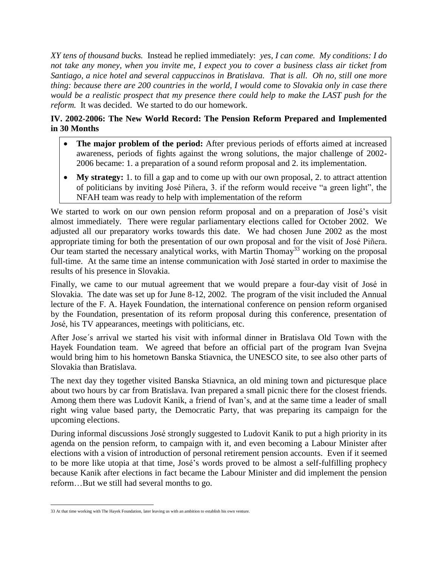*XY tens of thousand bucks.* Instead he replied immediately: *yes, I can come. My conditions: I do not take any money, when you invite me, I expect you to cover a business class air ticket from Santiago, a nice hotel and several cappuccinos in Bratislava. That is all. Oh no, still one more thing: because there are 200 countries in the world, I would come to Slovakia only in case there would be a realistic prospect that my presence there could help to make the LAST push for the reform.* It was decided. We started to do our homework.

# **IV. 2002-2006: The New World Record: The Pension Reform Prepared and Implemented in 30 Months**

- **The major problem of the period:** After previous periods of efforts aimed at increased awareness, periods of fights against the wrong solutions, the major challenge of 2002- 2006 became: 1. a preparation of a sound reform proposal and 2. its implementation.
- **My strategy:** 1. to fill a gap and to come up with our own proposal, 2. to attract attention of politicians by inviting José Piñera, 3. if the reform would receive "a green light", the NFAH team was ready to help with implementation of the reform

We started to work on our own pension reform proposal and on a preparation of José's visit almost immediately. There were regular parliamentary elections called for October 2002. We adjusted all our preparatory works towards this date. We had chosen June 2002 as the most appropriate timing for both the presentation of our own proposal and for the visit of José Piñera. Our team started the necessary analytical works, with Martin Thomay<sup>33</sup> working on the proposal full-time. At the same time an intense communication with José started in order to maximise the results of his presence in Slovakia.

Finally, we came to our mutual agreement that we would prepare a four-day visit of José in Slovakia. The date was set up for June 8-12, 2002. The program of the visit included the Annual lecture of the F. A. Hayek Foundation, the international conference on pension reform organised by the Foundation, presentation of its reform proposal during this conference, presentation of José, his TV appearances, meetings with politicians, etc.

After Jose´s arrival we started his visit with informal dinner in Bratislava Old Town with the Hayek Foundation team. We agreed that before an official part of the program Ivan Svejna would bring him to his hometown Banska Stiavnica, the UNESCO site, to see also other parts of Slovakia than Bratislava.

The next day they together visited Banska Stiavnica, an old mining town and picturesque place about two hours by car from Bratislava. Ivan prepared a small picnic there for the closest friends. Among them there was Ludovit Kanik, a friend of Ivan's, and at the same time a leader of small right wing value based party, the Democratic Party, that was preparing its campaign for the upcoming elections.

During informal discussions José strongly suggested to Ludovit Kanik to put a high priority in its agenda on the pension reform, to campaign with it, and even becoming a Labour Minister after elections with a vision of introduction of personal retirement pension accounts. Even if it seemed to be more like utopia at that time, José's words proved to be almost a self-fulfilling prophecy because Kanik after elections in fact became the Labour Minister and did implement the pension reform…But we still had several months to go.

 33 At that time working with The Hayek Foundation, later leaving us with an ambition to establish his own venture.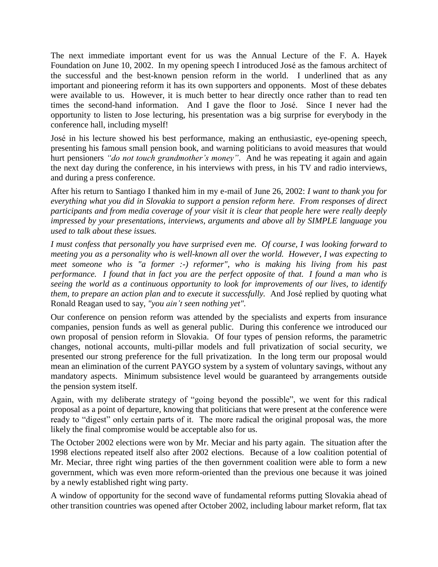The next immediate important event for us was the Annual Lecture of the F. A. Hayek Foundation on June 10, 2002. In my opening speech I introduced José as the famous architect of the successful and the best-known pension reform in the world. I underlined that as any important and pioneering reform it has its own supporters and opponents. Most of these debates were available to us. However, it is much better to hear directly once rather than to read ten times the second-hand information. And I gave the floor to José. Since I never had the opportunity to listen to Jose lecturing, his presentation was a big surprise for everybody in the conference hall, including myself!

José in his lecture showed his best performance, making an enthusiastic, eye-opening speech, presenting his famous small pension book, and warning politicians to avoid measures that would hurt pensioners *"do not touch grandmother's money"*. And he was repeating it again and again the next day during the conference, in his interviews with press, in his TV and radio interviews, and during a press conference.

After his return to Santiago I thanked him in my e-mail of June 26, 2002: *I want to thank you for everything what you did in Slovakia to support a pension reform here. From responses of direct participants and from media coverage of your visit it is clear that people here were really deeply impressed by your presentations, interviews, arguments and above all by SIMPLE language you used to talk about these issues.* 

*I must confess that personally you have surprised even me. Of course, I was looking forward to meeting you as a personality who is well-known all over the world. However, I was expecting to meet someone who is "a former :-) reformer", who is making his living from his past performance. I found that in fact you are the perfect opposite of that. I found a man who is seeing the world as a continuous opportunity to look for improvements of our lives, to identify them, to prepare an action plan and to execute it successfully.* And José replied by quoting what Ronald Reagan used to say, *"you ain't seen nothing yet".*

Our conference on pension reform was attended by the specialists and experts from insurance companies, pension funds as well as general public. During this conference we introduced our own proposal of pension reform in Slovakia. Of four types of pension reforms, the parametric changes, notional accounts, multi-pillar models and full privatization of social security, we presented our strong preference for the full privatization. In the long term our proposal would mean an elimination of the current PAYGO system by a system of voluntary savings, without any mandatory aspects. Minimum subsistence level would be guaranteed by arrangements outside the pension system itself.

Again, with my deliberate strategy of "going beyond the possible", we went for this radical proposal as a point of departure, knowing that politicians that were present at the conference were ready to "digest" only certain parts of it. The more radical the original proposal was, the more likely the final compromise would be acceptable also for us.

The October 2002 elections were won by Mr. Meciar and his party again. The situation after the 1998 elections repeated itself also after 2002 elections. Because of a low coalition potential of Mr. Meciar, three right wing parties of the then government coalition were able to form a new government, which was even more reform-oriented than the previous one because it was joined by a newly established right wing party.

A window of opportunity for the second wave of fundamental reforms putting Slovakia ahead of other transition countries was opened after October 2002, including labour market reform, flat tax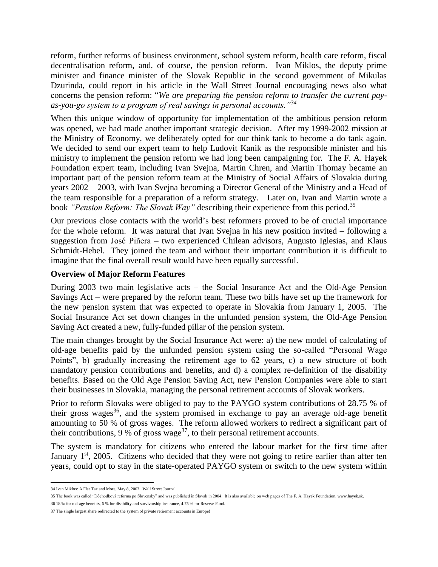reform, further reforms of business environment, school system reform, health care reform, fiscal decentralisation reform, and, of course, the pension reform. Ivan Miklos, the deputy prime minister and finance minister of the Slovak Republic in the second government of Mikulas Dzurinda, could report in his article in the Wall Street Journal encouraging news also what concerns the pension reform: "*We are preparing the pension reform to transfer the current payas-you-go system to a program of real savings in personal accounts."<sup>34</sup>*

When this unique window of opportunity for implementation of the ambitious pension reform was opened, we had made another important strategic decision. After my 1999-2002 mission at the Ministry of Economy, we deliberately opted for our think tank to become a do tank again. We decided to send our expert team to help Ludovit Kanik as the responsible minister and his ministry to implement the pension reform we had long been campaigning for. The F. A. Hayek Foundation expert team, including Ivan Svejna, Martin Chren, and Martin Thomay became an important part of the pension reform team at the Ministry of Social Affairs of Slovakia during years 2002 – 2003, with Ivan Svejna becoming a Director General of the Ministry and a Head of the team responsible for a preparation of a reform strategy. Later on, Ivan and Martin wrote a book *"Pension Reform: The Slovak Way"* describing their experience from this period.<sup>35</sup>

Our previous close contacts with the world's best reformers proved to be of crucial importance for the whole reform. It was natural that Ivan Svejna in his new position invited – following a suggestion from José Piñera – two experienced Chilean advisors, Augusto Iglesias, and Klaus Schmidt-Hebel. They joined the team and without their important contribution it is difficult to imagine that the final overall result would have been equally successful.

### **Overview of Major Reform Features**

During 2003 two main legislative acts – the Social Insurance Act and the Old-Age Pension Savings Act – were prepared by the reform team. These two bills have set up the framework for the new pension system that was expected to operate in Slovakia from January 1, 2005. The Social Insurance Act set down changes in the unfunded pension system, the Old-Age Pension Saving Act created a new, fully-funded pillar of the pension system.

The main changes brought by the Social Insurance Act were: a) the new model of calculating of old-age benefits paid by the unfunded pension system using the so-called "Personal Wage Points", b) gradually increasing the retirement age to 62 years, c) a new structure of both mandatory pension contributions and benefits, and d) a complex re-definition of the disability benefits. Based on the Old Age Pension Saving Act, new Pension Companies were able to start their businesses in Slovakia, managing the personal retirement accounts of Slovak workers.

Prior to reform Slovaks were obliged to pay to the PAYGO system contributions of 28.75 % of their gross wages <sup>36</sup>, and the system promised in exchange to pay an average old-age benefit amounting to 50 % of gross wages. The reform allowed workers to redirect a significant part of their contributions, 9 % of gross wage<sup>37</sup>, to their personal retirement accounts.

The system is mandatory for citizens who entered the labour market for the first time after January 1<sup>st</sup>, 2005. Citizens who decided that they were not going to retire earlier than after ten years, could opt to stay in the state-operated PAYGO system or switch to the new system within

 $\overline{a}$ 34 Ivan Miklos: A Flat Tax and More, May 8, 2003 , Wall Street Journal.

<sup>35</sup> The book was called "Dôchodková reforma po Slovensky" and was published in Slovak in 2004. It is also available on web pages of The F. A. Hayek Foundation, www.hayek.sk.

<sup>36</sup> 18 % for old-age benefits, 6 % for disability and survivorship insurance, 4.75 % for Reserve Fund.

<sup>37</sup> The single largest share redirected to the system of private retirement accounts in Europe!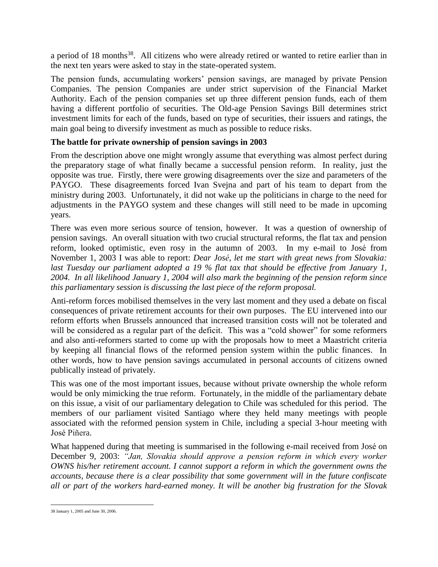a period of 18 months<sup>38</sup>. All citizens who were already retired or wanted to retire earlier than in the next ten years were asked to stay in the state-operated system.

The pension funds, accumulating workers' pension savings, are managed by private Pension Companies. The pension Companies are under strict supervision of the Financial Market Authority. Each of the pension companies set up three different pension funds, each of them having a different portfolio of securities. The Old-age Pension Savings Bill determines strict investment limits for each of the funds, based on type of securities, their issuers and ratings, the main goal being to diversify investment as much as possible to reduce risks.

## **The battle for private ownership of pension savings in 2003**

From the description above one might wrongly assume that everything was almost perfect during the preparatory stage of what finally became a successful pension reform. In reality, just the opposite was true. Firstly, there were growing disagreements over the size and parameters of the PAYGO. These disagreements forced Ivan Svejna and part of his team to depart from the ministry during 2003. Unfortunately, it did not wake up the politicians in charge to the need for adjustments in the PAYGO system and these changes will still need to be made in upcoming years.

There was even more serious source of tension, however. It was a question of ownership of pension savings. An overall situation with two crucial structural reforms, the flat tax and pension reform, looked optimistic, even rosy in the autumn of 2003. In my e-mail to José from November 1, 2003 I was able to report: *Dear José, let me start with great news from Slovakia: last Tuesday our parliament adopted a 19 % flat tax that should be effective from January 1, 2004. In all likelihood January 1, 2004 will also mark the beginning of the pension reform since this parliamentary session is discussing the last piece of the reform proposal.*

Anti-reform forces mobilised themselves in the very last moment and they used a debate on fiscal consequences of private retirement accounts for their own purposes. The EU intervened into our reform efforts when Brussels announced that increased transition costs will not be tolerated and will be considered as a regular part of the deficit. This was a "cold shower" for some reformers and also anti-reformers started to come up with the proposals how to meet a Maastricht criteria by keeping all financial flows of the reformed pension system within the public finances. In other words, how to have pension savings accumulated in personal accounts of citizens owned publically instead of privately.

This was one of the most important issues, because without private ownership the whole reform would be only mimicking the true reform. Fortunately, in the middle of the parliamentary debate on this issue, a visit of our parliamentary delegation to Chile was scheduled for this period. The members of our parliament visited Santiago where they held many meetings with people associated with the reformed pension system in Chile, including a special 3-hour meeting with José Piñera.

What happened during that meeting is summarised in the following e-mail received from José on December 9, 2003: *"Jan, Slovakia should approve a pension reform in which every worker OWNS his/her retirement account. I cannot support a reform in which the government owns the accounts, because there is a clear possibility that some government will in the future confiscate all or part of the workers hard-earned money. It will be another big frustration for the Slovak* 

 38 January 1, 2005 and June 30, 2006.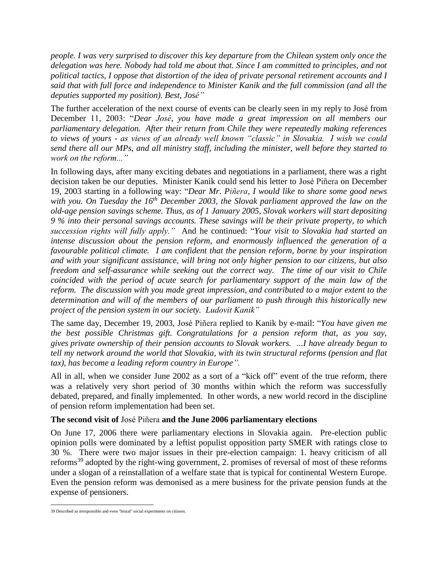*people. I was very surprised to discover this key departure from the Chilean system only once the delegation was here. Nobody had told me about that. Since I am committed to principles, and not political tactics, I oppose that distortion of the idea of private personal retirement accounts and I said that with full force and independence to Minister Kanik and the full commission (and all the deputies supported my position). Best, José"*

The further acceleration of the next course of events can be clearly seen in my reply to José from December 11, 2003: "*Dear José, you have made a great impression on all members our parliamentary delegation. After their return from Chile they were repeatedly making references to views of yours - as views of an already well known "classic" in Slovakia. I wish we could send there all our MPs, and all ministry staff, including the minister, well before they started to work on the reform..."*

In following days, after many exciting debates and negotiations in a parliament, there was a right decision taken be our deputies. Minister Kanik could send his letter to José Piñera on December 19, 2003 starting in a following way: "*Dear Mr*. *Piñera, I would like to share some good news with you. On Tuesday the 16th December 2003, the Slovak parliament approved the law on the old-age pension savings scheme. Thus, as of 1 January 2005, Slovak workers will start depositing 9 % into their personal savings accounts. These savings will be their private property, to which succession rights will fully apply."* And he continued: "*Your visit to Slovakia had started an intense discussion about the pension reform, and enormously influenced the generation of a favourable political climate. I am confident that the pension reform, borne by your inspiration and with your significant assistance, will bring not only higher pension to our citizens, but also freedom and self-assurance while seeking out the correct way. The time of our visit to Chile coincided with the period of acute search for parliamentary support of the main law of the reform. The discussion with you made great impression, and contributed to a major extent to the determination and will of the members of our parliament to push through this historically new project of the pension system in our society. Ludovit Kanik"*

The same day, December 19, 2003, José Piñera replied to Kanik by e-mail: "*You have given me the best possible Christmas gift. Congratulations for a pension reform that, as you say, gives private ownership of their pension accounts to Slovak workers. ...I have already begun to tell my network around the world that Slovakia, with its twin structural reforms (pension and flat tax), has become a leading reform country in Europe".*

All in all, when we consider June 2002 as a sort of a "kick off" event of the true reform, there was a relatively very short period of 30 months within which the reform was successfully debated, prepared, and finally implemented. In other words, a new world record in the discipline of pension reform implementation had been set.

## **The second visit of** José Piñera **and the June 2006 parliamentary elections**

On June 17, 2006 there were parliamentary elections in Slovakia again. Pre-election public opinion polls were dominated by a leftist populist opposition party SMER with ratings close to 30 %. There were two major issues in their pre-election campaign: 1. heavy criticism of all reforms<sup>39</sup> adopted by the right-wing government, 2. promises of reversal of most of these reforms under a slogan of a reinstallation of a welfare state that is typical for continental Western Europe. Even the pension reform was demonised as a mere business for the private pension funds at the expense of pensioners.

 39 Described as irresponsible and even "brutal" social experiments on citizens.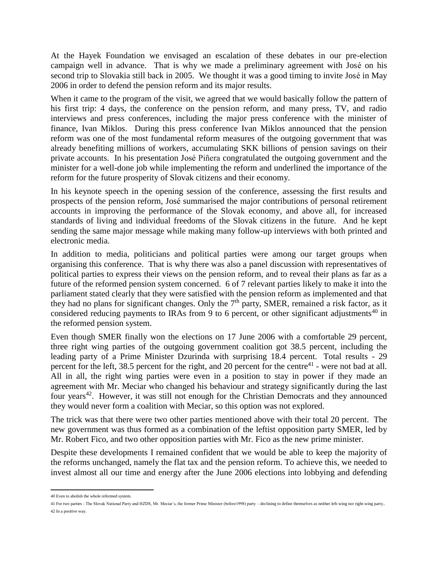At the Hayek Foundation we envisaged an escalation of these debates in our pre-election campaign well in advance. That is why we made a preliminary agreement with José on his second trip to Slovakia still back in 2005. We thought it was a good timing to invite José in May 2006 in order to defend the pension reform and its major results.

When it came to the program of the visit, we agreed that we would basically follow the pattern of his first trip: 4 days, the conference on the pension reform, and many press, TV, and radio interviews and press conferences, including the major press conference with the minister of finance, Ivan Miklos. During this press conference Ivan Miklos announced that the pension reform was one of the most fundamental reform measures of the outgoing government that was already benefiting millions of workers, accumulating SKK billions of pension savings on their private accounts. In his presentation José Piñera congratulated the outgoing government and the minister for a well-done job while implementing the reform and underlined the importance of the reform for the future prosperity of Slovak citizens and their economy.

In his keynote speech in the opening session of the conference, assessing the first results and prospects of the pension reform, José summarised the major contributions of personal retirement accounts in improving the performance of the Slovak economy, and above all, for increased standards of living and individual freedoms of the Slovak citizens in the future. And he kept sending the same major message while making many follow-up interviews with both printed and electronic media.

In addition to media, politicians and political parties were among our target groups when organising this conference. That is why there was also a panel discussion with representatives of political parties to express their views on the pension reform, and to reveal their plans as far as a future of the reformed pension system concerned. 6 of 7 relevant parties likely to make it into the parliament stated clearly that they were satisfied with the pension reform as implemented and that they had no plans for significant changes. Only the  $7<sup>th</sup>$  party, SMER, remained a risk factor, as it considered reducing payments to IRAs from 9 to 6 percent, or other significant adjustments<sup>40</sup> in the reformed pension system.

Even though SMER finally won the elections on 17 June 2006 with a comfortable 29 percent, three right wing parties of the outgoing government coalition got 38.5 percent, including the leading party of a Prime Minister Dzurinda with surprising 18.4 percent. Total results - 29 percent for the left, 38.5 percent for the right, and 20 percent for the centre<sup>41</sup> - were not bad at all. All in all, the right wing parties were even in a position to stay in power if they made an agreement with Mr. Meciar who changed his behaviour and strategy significantly during the last four years<sup>42</sup>. However, it was still not enough for the Christian Democrats and they announced they would never form a coalition with Meciar, so this option was not explored.

The trick was that there were two other parties mentioned above with their total 20 percent. The new government was thus formed as a combination of the leftist opposition party SMER, led by Mr. Robert Fico, and two other opposition parties with Mr. Fico as the new prime minister.

Despite these developments I remained confident that we would be able to keep the majority of the reforms unchanged, namely the flat tax and the pension reform. To achieve this, we needed to invest almost all our time and energy after the June 2006 elections into lobbying and defending

 $\overline{a}$ 40 Even to abolish the whole reformed system.

<sup>41</sup> For two parties - The Slovak National Party and HZDS, Mr. Meciar´s, the former Prime Minister (before1998) party – declining to define themselves as neither left-wing nor right-wing party.. 42 In a positive way.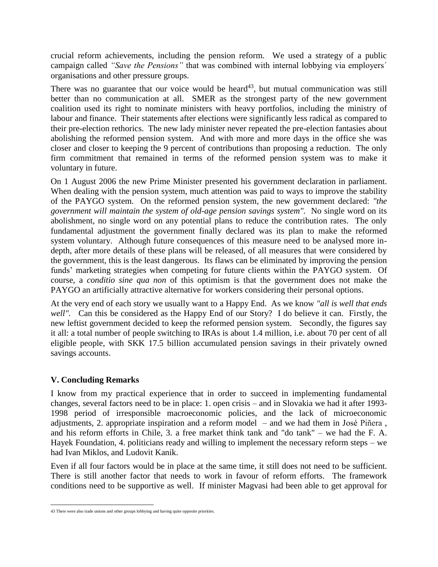crucial reform achievements, including the pension reform. We used a strategy of a public campaign called *"Save the Pensions"* that was combined with internal lobbying via employers´ organisations and other pressure groups.

There was no guarantee that our voice would be heard<sup>43</sup>, but mutual communication was still better than no communication at all. SMER as the strongest party of the new government coalition used its right to nominate ministers with heavy portfolios, including the ministry of labour and finance. Their statements after elections were significantly less radical as compared to their pre-election rethorics. The new lady minister never repeated the pre-election fantasies about abolishing the reformed pension system. And with more and more days in the office she was closer and closer to keeping the 9 percent of contributions than proposing a reduction. The only firm commitment that remained in terms of the reformed pension system was to make it voluntary in future.

On 1 August 2006 the new Prime Minister presented his government declaration in parliament. When dealing with the pension system, much attention was paid to ways to improve the stability of the PAYGO system. On the reformed pension system, the new government declared: *"the government will maintain the system of old-age pension savings system".* No single word on its abolishment, no single word on any potential plans to reduce the contribution rates. The only fundamental adjustment the government finally declared was its plan to make the reformed system voluntary. Although future consequences of this measure need to be analysed more indepth, after more details of these plans will be released, of all measures that were considered by the government, this is the least dangerous. Its flaws can be eliminated by improving the pension funds' marketing strategies when competing for future clients within the PAYGO system. Of course, a *conditio sine qua non* of this optimism is that the government does not make the PAYGO an artificially attractive alternative for workers considering their personal options.

At the very end of each story we usually want to a Happy End. As we know *"all is well that ends well".* Can this be considered as the Happy End of our Story? I do believe it can. Firstly, the new leftist government decided to keep the reformed pension system. Secondly, the figures say it all: a total number of people switching to IRAs is about 1.4 million, i.e. about 70 per cent of all eligible people, with SKK 17.5 billion accumulated pension savings in their privately owned savings accounts.

## **V. Concluding Remarks**

I know from my practical experience that in order to succeed in implementing fundamental changes, several factors need to be in place: 1. open crisis – and in Slovakia we had it after 1993- 1998 period of irresponsible macroeconomic policies, and the lack of microeconomic adjustments, 2. appropriate inspiration and a reform model – and we had them in José Piñera , and his reform efforts in Chile, 3. a free market think tank and "do tank" – we had the F. A. Hayek Foundation, 4. politicians ready and willing to implement the necessary reform steps – we had Ivan Miklos, and Ludovit Kanik.

Even if all four factors would be in place at the same time, it still does not need to be sufficient. There is still another factor that needs to work in favour of reform efforts. The framework conditions need to be supportive as well. If minister Magvasi had been able to get approval for

 43 There were also trade unions and other groups lobbying and having quite opposite priorities.